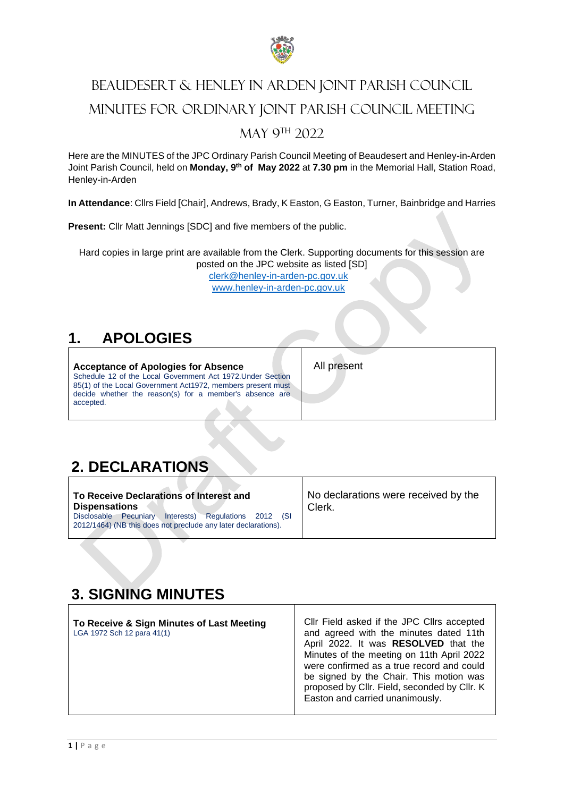

# BEAUDESERT & HENLEY IN ARDEN JOINT PARISH COUNCIL MINUTES FOR ORDINARY JOINT PARISH COUNCIL MEETING MAY 9<sup>TH</sup> 2022

Here are the MINUTES of the JPC Ordinary Parish Council Meeting of Beaudesert and Henley-in-Arden Joint Parish Council, held on **Monday, 9th of May 2022** at **7.30 pm** in the Memorial Hall, Station Road, Henley-in-Arden

**In Attendance**: Cllrs Field [Chair], Andrews, Brady, K Easton, G Easton, Turner, Bainbridge and Harries

**Present:** Cllr Matt Jennings [SDC] and five members of the public.

Hard copies in large print are available from the Clerk. Supporting documents for this session are posted on the JPC website as listed [SD]

[clerk@henley-in-arden-pc.gov.uk](mailto:clerk@henley-in-arden-pc.gov.uk) [www.henley-in-arden-pc.gov.uk](http://www.henley-in-arden-pc.gov.uk/)

## **1. APOLOGIES**

**Acceptance of Apologies for Absence** Schedule 12 of the Local Government Act 1972.Under Section 85(1) of the Local Government Act1972, members present must decide whether the reason(s) for a member's absence are accepted.

All present

## **2. DECLARATIONS**

| To Receive Declarations of Interest and                                                                                          | No declarations were received by the |
|----------------------------------------------------------------------------------------------------------------------------------|--------------------------------------|
| <b>Dispensations</b>                                                                                                             | Clerk.                               |
| Regulations 2012<br>Interests)<br>Disclosable Pecuniary<br>(SI<br>2012/1464) (NB this does not preclude any later declarations). |                                      |

## **3. SIGNING MINUTES**

| To Receive & Sign Minutes of Last Meeting<br>LGA 1972 Sch 12 para 41(1) | CIIr Field asked if the JPC CIIrs accepted<br>and agreed with the minutes dated 11th<br>April 2022. It was RESOLVED that the<br>Minutes of the meeting on 11th April 2022<br>were confirmed as a true record and could<br>be signed by the Chair. This motion was<br>proposed by Cllr. Field, seconded by Cllr. K<br>Easton and carried unanimously. |
|-------------------------------------------------------------------------|------------------------------------------------------------------------------------------------------------------------------------------------------------------------------------------------------------------------------------------------------------------------------------------------------------------------------------------------------|
|-------------------------------------------------------------------------|------------------------------------------------------------------------------------------------------------------------------------------------------------------------------------------------------------------------------------------------------------------------------------------------------------------------------------------------------|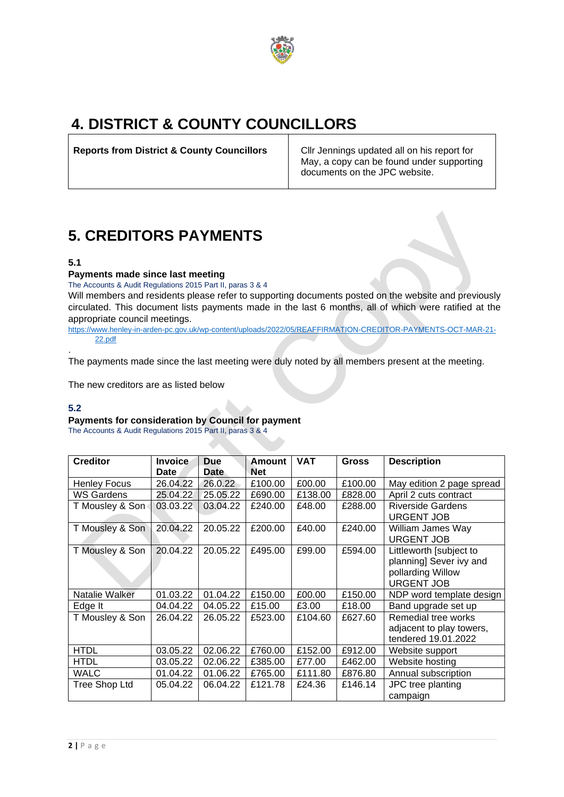

## **4. DISTRICT & COUNTY COUNCILLORS**

**Reports from District & County Councillors** Cllr Jennings updated all on his report for

May, a copy can be found under supporting documents on the JPC website.

## **5. CREDITORS PAYMENTS**

### **5.1**

## **Payments made since last meeting**

The Accounts & Audit Regulations 2015 Part II, paras 3 & 4 Will members and residents please refer to supporting documents posted on the website and previously circulated. This document lists payments made in the last 6 months, all of which were ratified at the appropriate council meetings.

[https://www.henley-in-arden-pc.gov.uk/wp-content/uploads/2022/05/REAFFIRMATION-CREDITOR-PAYMENTS-OCT-MAR-21-](https://www.henley-in-arden-pc.gov.uk/wp-content/uploads/2022/05/REAFFIRMATION-CREDITOR-PAYMENTS-OCT-MAR-21-22.pdf) [22.pdf](https://www.henley-in-arden-pc.gov.uk/wp-content/uploads/2022/05/REAFFIRMATION-CREDITOR-PAYMENTS-OCT-MAR-21-22.pdf) .

The payments made since the last meeting were duly noted by all members present at the meeting.

The new creditors are as listed below

#### **5.2**

## **Payments for consideration by Council for payment**

The Accounts & Audit Regulations 2015 Part II, paras 3 & 4

| <b>Creditor</b>     | <b>Invoice</b><br>Date | <b>Due</b><br><b>Date</b> | <b>VAT</b><br>Amount<br><b>Net</b> |         | <b>Gross</b> | <b>Description</b>                                                                           |
|---------------------|------------------------|---------------------------|------------------------------------|---------|--------------|----------------------------------------------------------------------------------------------|
| <b>Henley Focus</b> | 26.04.22               | 26.0.22                   | £100.00                            | £00.00  | £100.00      | May edition 2 page spread                                                                    |
| <b>WS Gardens</b>   | 25.04.22               | 25.05.22                  | £690.00                            | £138.00 | £828.00      | April 2 cuts contract                                                                        |
| T Mousley & Son     | 03.03.22               | 03.04.22                  | £240.00                            | £48.00  | £288.00      | <b>Riverside Gardens</b><br><b>URGENT JOB</b>                                                |
| T Mousley & Son     | 20.04.22               | 20.05.22                  | £200.00                            | £40.00  | £240.00      | William James Way<br><b>URGENT JOB</b>                                                       |
| T Mousley & Son     | 20.04.22               | 20.05.22                  | £495.00                            | £99.00  | £594.00      | Littleworth [subject to<br>planning] Sever ivy and<br>pollarding Willow<br><b>URGENT JOB</b> |
| Natalie Walker      | 01.03.22               | 01.04.22                  | £150.00                            | £00.00  | £150.00      | NDP word template design                                                                     |
| Edge It             | 04.04.22               | 04.05.22                  | £15.00                             | £3.00   | £18.00       | Band upgrade set up                                                                          |
| T Mousley & Son     | 26.04.22               | 26.05.22                  | £523.00                            | £104.60 | £627.60      | Remedial tree works<br>adjacent to play towers,<br>tendered 19.01.2022                       |
| <b>HTDL</b>         | 03.05.22               | 02.06.22                  | £760.00                            | £152.00 | £912.00      | Website support                                                                              |
| <b>HTDL</b>         | 03.05.22               | 02.06.22                  | £385.00                            | £77.00  | £462.00      | Website hosting                                                                              |
| <b>WALC</b>         | 01.04.22               | 01.06.22                  | £765.00                            | £111.80 | £876.80      | Annual subscription                                                                          |
| Tree Shop Ltd       | 05.04.22               | 06.04.22                  | £121.78                            | £24.36  | £146.14      | JPC tree planting<br>campaign                                                                |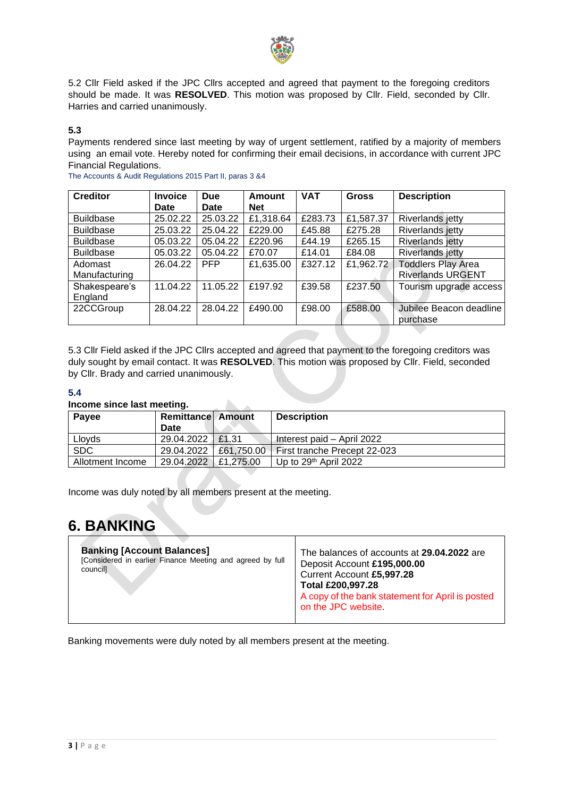

5.2 Cllr Field asked if the JPC Cllrs accepted and agreed that payment to the foregoing creditors should be made. It was **RESOLVED**. This motion was proposed by Cllr. Field, seconded by Cllr. Harries and carried unanimously.

## **5.3**

Payments rendered since last meeting by way of urgent settlement, ratified by a majority of members using an email vote. Hereby noted for confirming their email decisions, in accordance with current JPC Financial Regulations.

| <b>Creditor</b>  | <b>Invoice</b> | <b>Due</b>  | <b>Amount</b> | <b>VAT</b><br><b>Gross</b> |           | <b>Description</b>        |  |  |  |
|------------------|----------------|-------------|---------------|----------------------------|-----------|---------------------------|--|--|--|
|                  | <b>Date</b>    | <b>Date</b> | <b>Net</b>    |                            |           |                           |  |  |  |
| <b>Buildbase</b> | 25.02.22       | 25.03.22    | £1,318.64     | £283.73                    | £1,587.37 | Riverlands jetty          |  |  |  |
| <b>Buildbase</b> | 25.03.22       | 25.04.22    | £229.00       | £45.88                     | £275.28   | <b>Riverlands jetty</b>   |  |  |  |
| <b>Buildbase</b> | 05.03.22       | 05.04.22    | £220.96       | £44.19                     | £265.15   | <b>Riverlands jetty</b>   |  |  |  |
| <b>Buildbase</b> | 05.03.22       | 05.04.22    | £70.07        | £14.01                     | £84.08    | <b>Riverlands jetty</b>   |  |  |  |
| Adomast          | 26.04.22       | <b>PFP</b>  | £1,635.00     | £327.12                    | £1,962.72 | <b>Toddlers Play Area</b> |  |  |  |
| Manufacturing    |                |             |               |                            |           | <b>Riverlands URGENT</b>  |  |  |  |
| Shakespeare's    | 11.04.22       | 11.05.22    | £197.92       | £39.58                     | £237.50   | Tourism upgrade access    |  |  |  |
| England          |                |             |               |                            |           |                           |  |  |  |
| 22CCGroup        | 28.04.22       | 28.04.22    | £490.00       | £98.00                     | £588.00   | Jubilee Beacon deadline   |  |  |  |
|                  |                |             |               |                            |           | purchase                  |  |  |  |

The Accounts & Audit Regulations 2015 Part II, paras 3 &4

5.3 Cllr Field asked if the JPC Cllrs accepted and agreed that payment to the foregoing creditors was duly sought by email contact. It was **RESOLVED**. This motion was proposed by Cllr. Field, seconded by Cllr. Brady and carried unanimously.

#### **5.4**

#### **Income since last meeting.**

| Payee            | <b>Remittance Amount</b><br>Date |            | <b>Description</b>            |
|------------------|----------------------------------|------------|-------------------------------|
| Lloyds           | 29.04.2022                       | £1.31      | Interest paid - April 2022    |
| <b>SDC</b>       | 29.04.2022                       | £61,750.00 | -First tranche Precept 22-023 |
| Allotment Income | 29.04.2022                       | £1.275.00  | Up to 29th April 2022         |

Income was duly noted by all members present at the meeting.

## **6. BANKING**

| <b>Banking [Account Balances]</b><br>[Considered in earlier Finance Meeting and agreed by full<br>councill | The balances of accounts at 29.04.2022 are<br>Deposit Account £195,000.00<br>Current Account £5,997.28<br>Total £200,997.28<br>A copy of the bank statement for April is posted<br>on the JPC website. |
|------------------------------------------------------------------------------------------------------------|--------------------------------------------------------------------------------------------------------------------------------------------------------------------------------------------------------|
|------------------------------------------------------------------------------------------------------------|--------------------------------------------------------------------------------------------------------------------------------------------------------------------------------------------------------|

Banking movements were duly noted by all members present at the meeting.

 $\Delta$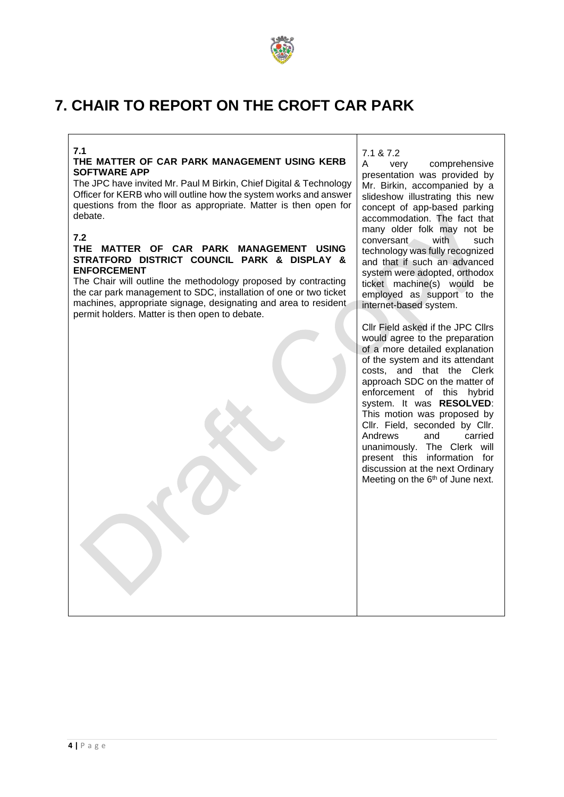

## **7. CHAIR TO REPORT ON THE CROFT CAR PARK**

#### **7.1**

#### **THE MATTER OF CAR PARK MANAGEMENT USING KERB SOFTWARE APP**

The JPC have invited Mr. Paul M Birkin, Chief Digital & Technology Officer for KERB who will outline how the system works and answer questions from the floor as appropriate. Matter is then open for debate.

#### **7.2**

#### **THE MATTER OF CAR PARK MANAGEMENT USING STRATFORD DISTRICT COUNCIL PARK & DISPLAY & ENFORCEMENT**

The Chair will outline the methodology proposed by contracting the car park management to SDC, installation of one or two ticket machines, appropriate signage, designating and area to resident permit holders. Matter is then open to debate.

7.1 & 7.2

A very comprehensive presentation was provided by Mr. Birkin, accompanied by a slideshow illustrating this new concept of app-based parking accommodation. The fact that many older folk may not be conversant with such technology was fully recognized and that if such an advanced system were adopted, orthodox ticket machine(s) would be employed as support to the internet-based system.

Cllr Field asked if the JPC Cllrs would agree to the preparation of a more detailed explanation of the system and its attendant costs, and that the Clerk approach SDC on the matter of enforcement of this hybrid system. It was **RESOLVED**: This motion was proposed by Cllr. Field, seconded by Cllr. Andrews and carried unanimously. The Clerk will present this information for discussion at the next Ordinary Meeting on the 6<sup>th</sup> of June next.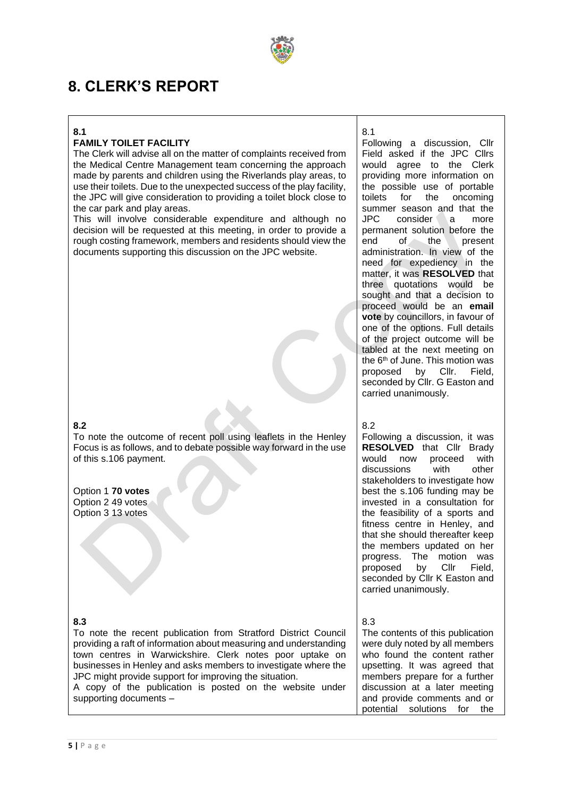

## **8. CLERK'S REPORT**

#### **8.1**

## **FAMILY TOILET FACILITY**

The Clerk will advise all on the matter of complaints received from the Medical Centre Management team concerning the approach made by parents and children using the Riverlands play areas, to use their toilets. Due to the unexpected success of the play facility, the JPC will give consideration to providing a toilet block close to the car park and play areas.

This will involve considerable expenditure and although no decision will be requested at this meeting, in order to provide a rough costing framework, members and residents should view the documents supporting this discussion on the JPC website.

#### **8.2**

To note the outcome of recent poll using leaflets in the Henley Focus is as follows, and to debate possible way forward in the use of this s.106 payment.

Option 1 **70 votes** Option 2 49 votes Option 3 13 votes

### **8.3**

To note the recent publication from Stratford District Council providing a raft of information about measuring and understanding town centres in Warwickshire. Clerk notes poor uptake on businesses in Henley and asks members to investigate where the JPC might provide support for improving the situation.

A copy of the publication is posted on the website under supporting documents –

## 8.1

Following a discussion, Cllr Field asked if the JPC Cllrs would agree to the Clerk providing more information on the possible use of portable toilets for the oncoming summer season and that the JPC consider a more permanent solution before the end of the present administration. In view of the need for expediency in the matter, it was **RESOLVED** that three quotations would be sought and that a decision to proceed would be an **email vote** by councillors, in favour of one of the options. Full details of the project outcome will be tabled at the next meeting on the 6<sup>th</sup> of June. This motion was proposed by Cllr. Field, seconded by Cllr. G Easton and carried unanimously.

8.2

Following a discussion, it was **RESOLVED** that Cllr Brady would now proceed with discussions with other stakeholders to investigate how best the s.106 funding may be invested in a consultation for the feasibility of a sports and fitness centre in Henley, and that she should thereafter keep the members updated on her progress. The motion was proposed by Cllr Field, seconded by Cllr K Easton and carried unanimously.

8.3

The contents of this publication were duly noted by all members who found the content rather upsetting. It was agreed that members prepare for a further discussion at a later meeting and provide comments and or potential solutions for the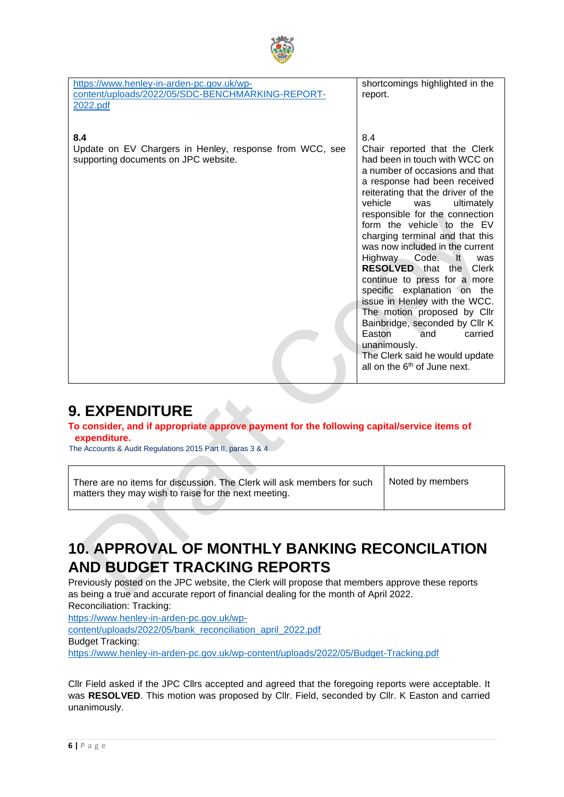

| https://www.henley-in-arden-pc.gov.uk/wp-<br>content/uploads/2022/05/SDC-BENCHMARKING-REPORT-<br>2022.pdf | shortcomings highlighted in the<br>report.                                                                                                                                                                                                                                                                                                                                                                                                                                                                                                                                                                                                                                                                                   |
|-----------------------------------------------------------------------------------------------------------|------------------------------------------------------------------------------------------------------------------------------------------------------------------------------------------------------------------------------------------------------------------------------------------------------------------------------------------------------------------------------------------------------------------------------------------------------------------------------------------------------------------------------------------------------------------------------------------------------------------------------------------------------------------------------------------------------------------------------|
| 8.4<br>Update on EV Chargers in Henley, response from WCC, see<br>supporting documents on JPC website.    | 8.4<br>Chair reported that the Clerk<br>had been in touch with WCC on<br>a number of occasions and that<br>a response had been received<br>reiterating that the driver of the<br>vehicle<br>ultimately<br>was<br>responsible for the connection<br>form the vehicle to the EV<br>charging terminal and that this<br>was now included in the current<br>Code.<br>$\mathsf{It}$<br><b>Highway</b><br>was<br><b>RESOLVED</b> that the<br>Clerk<br>continue to press for a more<br>specific explanation on the<br>issue in Henley with the WCC.<br>The motion proposed by Cllr<br>Bainbridge, seconded by Cllr K<br>Easton<br>and<br>carried<br>unanimously.<br>The Clerk said he would update<br>all on the $6th$ of June next. |

## **9. EXPENDITURE**

### **To consider, and if appropriate approve payment for the following capital/service items of expenditure.**

The Accounts & Audit Regulations 2015 Part II, paras 3 & 4

There are no items for discussion. The Clerk will ask members for such matters they may wish to raise for the next meeting.

Noted by members

## **10. APPROVAL OF MONTHLY BANKING RECONCILATION AND BUDGET TRACKING REPORTS**

Previously posted on the JPC website, the Clerk will propose that members approve these reports as being a true and accurate report of financial dealing for the month of April 2022. Reconciliation: Tracking:

[https://www.henley-in-arden-pc.gov.uk/wp-](https://www.henley-in-arden-pc.gov.uk/wp-content/uploads/2022/05/bank_reconciliation_april_2022.pdf)

[content/uploads/2022/05/bank\\_reconciliation\\_april\\_2022.pdf](https://www.henley-in-arden-pc.gov.uk/wp-content/uploads/2022/05/bank_reconciliation_april_2022.pdf)

Budget Tracking:

<https://www.henley-in-arden-pc.gov.uk/wp-content/uploads/2022/05/Budget-Tracking.pdf>

Cllr Field asked if the JPC Cllrs accepted and agreed that the foregoing reports were acceptable. It was **RESOLVED**. This motion was proposed by Cllr. Field, seconded by Cllr. K Easton and carried unanimously.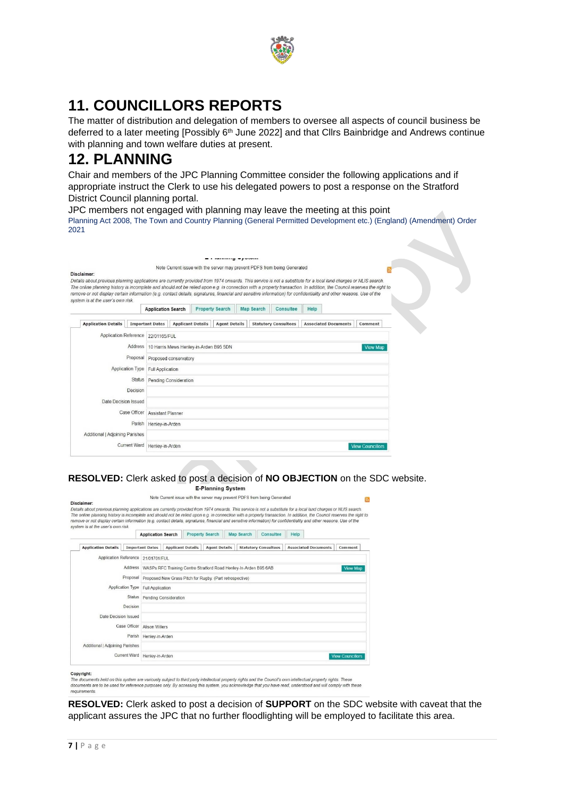

## **11. COUNCILLORS REPORTS**

The matter of distribution and delegation of members to oversee all aspects of council business be deferred to a later meeting [Possibly 6th June 2022] and that Cllrs Bainbridge and Andrews continue with planning and town welfare duties at present.

## **12. PLANNING**

Chair and members of the JPC Planning Committee consider the following applications and if appropriate instruct the Clerk to use his delegated powers to post a response on the Stratford District Council planning portal.

JPC members not engaged with planning may leave the meeting at this point Planning Act 2008, The Town and Country Planning (General Permitted Development etc.) (England) (Amendment) Order 2021

| Disclaimer:<br>Details about previous planning applications are currently provided from 1974 onwards. This service is not a substitute for a local land charges or NLIS search.                                                                                                                                                                                                    |                     |                                                |                          |  |                        |                   |  | Note Current issue with the server may prevent PDFS from being Generated |      |                             |                         |  |
|------------------------------------------------------------------------------------------------------------------------------------------------------------------------------------------------------------------------------------------------------------------------------------------------------------------------------------------------------------------------------------|---------------------|------------------------------------------------|--------------------------|--|------------------------|-------------------|--|--------------------------------------------------------------------------|------|-----------------------------|-------------------------|--|
| The online planning history is incomplete and should not be relied upon e.g. in connection with a property transaction. In addition, the Council reserves the right to<br>remove or not display certain information (e.g. contact details, signatures, financial and sensitive information) for confidentiality and other reasons. Use of the<br>system is at the user's own risk. |                     |                                                |                          |  |                        |                   |  |                                                                          |      |                             |                         |  |
|                                                                                                                                                                                                                                                                                                                                                                                    |                     | <b>Application Search</b>                      |                          |  | <b>Property Search</b> | <b>Map Search</b> |  | Consultee                                                                | Help |                             |                         |  |
| <b>Application Details</b>                                                                                                                                                                                                                                                                                                                                                         |                     | <b>Important Dates</b>                         | <b>Applicant Details</b> |  | <b>Agent Details</b>   |                   |  | <b>Statutory Consultees</b>                                              |      | <b>Associated Documents</b> | Comment                 |  |
| <b>Application Reference</b>                                                                                                                                                                                                                                                                                                                                                       |                     | 22/01165/FUL                                   |                          |  |                        |                   |  |                                                                          |      |                             |                         |  |
|                                                                                                                                                                                                                                                                                                                                                                                    |                     | Address 10 Harris Mews Henley-in-Arden B95 5DN |                          |  |                        |                   |  |                                                                          |      |                             | <b>View Map</b>         |  |
|                                                                                                                                                                                                                                                                                                                                                                                    |                     | Proposal Proposed conservatory                 |                          |  |                        |                   |  |                                                                          |      |                             |                         |  |
|                                                                                                                                                                                                                                                                                                                                                                                    | Application Type    | Full Application                               |                          |  |                        |                   |  |                                                                          |      |                             |                         |  |
|                                                                                                                                                                                                                                                                                                                                                                                    |                     | Status Pending Consideration                   |                          |  |                        |                   |  |                                                                          |      |                             |                         |  |
|                                                                                                                                                                                                                                                                                                                                                                                    | Decision            |                                                |                          |  |                        |                   |  |                                                                          |      |                             |                         |  |
| Date Decision Issued                                                                                                                                                                                                                                                                                                                                                               |                     |                                                |                          |  |                        |                   |  |                                                                          |      |                             |                         |  |
|                                                                                                                                                                                                                                                                                                                                                                                    | Case Officer        |                                                | <b>Assistant Planner</b> |  |                        |                   |  |                                                                          |      |                             |                         |  |
|                                                                                                                                                                                                                                                                                                                                                                                    | Parish              | Henley-in-Arden                                |                          |  |                        |                   |  |                                                                          |      |                             |                         |  |
| Additional   Adjoining Parishes                                                                                                                                                                                                                                                                                                                                                    |                     |                                                |                          |  |                        |                   |  |                                                                          |      |                             |                         |  |
|                                                                                                                                                                                                                                                                                                                                                                                    | <b>Current Ward</b> | Henley-in-Arden                                |                          |  |                        |                   |  |                                                                          |      |                             | <b>View Councillors</b> |  |

#### **RESOLVED:** Clerk asked to post a decision of **NO OBJECTION** on the SDC website. **E-Planning System**

|                            |                                                  |                                                                                                                                                                                                                                        |                                                                                                                       |                                                   |                        |                      | Consultee                                                                     | Help                                                                                                    |                                                                          |                                                                                                                                                                                                                                                                                                                                                                                                                                                                                                                                                  |  |
|----------------------------|--------------------------------------------------|----------------------------------------------------------------------------------------------------------------------------------------------------------------------------------------------------------------------------------------|-----------------------------------------------------------------------------------------------------------------------|---------------------------------------------------|------------------------|----------------------|-------------------------------------------------------------------------------|---------------------------------------------------------------------------------------------------------|--------------------------------------------------------------------------|--------------------------------------------------------------------------------------------------------------------------------------------------------------------------------------------------------------------------------------------------------------------------------------------------------------------------------------------------------------------------------------------------------------------------------------------------------------------------------------------------------------------------------------------------|--|
| <b>Application Details</b> |                                                  |                                                                                                                                                                                                                                        |                                                                                                                       |                                                   |                        |                      |                                                                               |                                                                                                         |                                                                          | Comment                                                                                                                                                                                                                                                                                                                                                                                                                                                                                                                                          |  |
|                            |                                                  |                                                                                                                                                                                                                                        |                                                                                                                       |                                                   |                        |                      |                                                                               |                                                                                                         |                                                                          |                                                                                                                                                                                                                                                                                                                                                                                                                                                                                                                                                  |  |
|                            |                                                  |                                                                                                                                                                                                                                        |                                                                                                                       |                                                   |                        |                      |                                                                               |                                                                                                         |                                                                          | <b>View Map</b>                                                                                                                                                                                                                                                                                                                                                                                                                                                                                                                                  |  |
|                            |                                                  |                                                                                                                                                                                                                                        |                                                                                                                       |                                                   |                        |                      |                                                                               |                                                                                                         |                                                                          |                                                                                                                                                                                                                                                                                                                                                                                                                                                                                                                                                  |  |
|                            |                                                  |                                                                                                                                                                                                                                        |                                                                                                                       |                                                   |                        |                      |                                                                               |                                                                                                         |                                                                          |                                                                                                                                                                                                                                                                                                                                                                                                                                                                                                                                                  |  |
|                            |                                                  |                                                                                                                                                                                                                                        |                                                                                                                       |                                                   |                        |                      |                                                                               |                                                                                                         |                                                                          |                                                                                                                                                                                                                                                                                                                                                                                                                                                                                                                                                  |  |
|                            |                                                  |                                                                                                                                                                                                                                        |                                                                                                                       |                                                   |                        |                      |                                                                               |                                                                                                         |                                                                          |                                                                                                                                                                                                                                                                                                                                                                                                                                                                                                                                                  |  |
|                            |                                                  |                                                                                                                                                                                                                                        |                                                                                                                       |                                                   |                        |                      |                                                                               |                                                                                                         |                                                                          |                                                                                                                                                                                                                                                                                                                                                                                                                                                                                                                                                  |  |
|                            |                                                  |                                                                                                                                                                                                                                        |                                                                                                                       |                                                   |                        |                      |                                                                               |                                                                                                         |                                                                          |                                                                                                                                                                                                                                                                                                                                                                                                                                                                                                                                                  |  |
|                            |                                                  |                                                                                                                                                                                                                                        |                                                                                                                       |                                                   |                        |                      |                                                                               |                                                                                                         |                                                                          |                                                                                                                                                                                                                                                                                                                                                                                                                                                                                                                                                  |  |
|                            |                                                  |                                                                                                                                                                                                                                        |                                                                                                                       |                                                   |                        |                      |                                                                               |                                                                                                         |                                                                          |                                                                                                                                                                                                                                                                                                                                                                                                                                                                                                                                                  |  |
|                            |                                                  |                                                                                                                                                                                                                                        |                                                                                                                       |                                                   |                        |                      |                                                                               |                                                                                                         |                                                                          | <b>View Councillors</b>                                                                                                                                                                                                                                                                                                                                                                                                                                                                                                                          |  |
|                            | Disclaimer:<br>system is at the user's own risk. | <b>Important Dates</b><br><b>Application Reference</b><br>Proposal<br><b>Application Type</b><br><b>Status</b><br>Decision<br>Date Decision Issued<br>Case Officer<br>Parish<br>Additional   Adioining Parishes<br><b>Current Ward</b> | <b>Application Search</b><br>21/01701/FUL<br>Full Application<br>Alison Willers<br>Henley-in-Arden<br>Henley-in-Arden | <b>Applicant Details</b><br>Pending Consideration | <b>Property Search</b> | <b>Agent Details</b> | <b>Map Search</b><br>Proposed New Grass Pitch for Rugby. (Part retrospective) | <b>Statutory Consultees</b><br>Address WASPs RFC Training Centre Stratford Road Henley-In-Arden B95 6AB | Note Current issue with the server may prevent PDFS from being Generated | Details about previous planning applications are currently provided from 1974 onwards. This service is not a substitute for a local land charges or NLIS search.<br>The online planning history is incomplete and should not be relied upon e.g. in connection with a property transaction. In addition, the Council reserves the right to<br>remove or not display certain information (e.g. contact details, signatures, financial and sensitive information) for confidentiality and other reasons. Use of the<br><b>Associated Documents</b> |  |

#### Copyright:

of the documents held on this system are variously subject to third party intellectual property rights and the Council's own intellectual property rights. These<br>documents are to be used for reference purposes only. By acce

**RESOLVED:** Clerk asked to post a decision of **SUPPORT** on the SDC website with caveat that the applicant assures the JPC that no further floodlighting will be employed to facilitate this area.